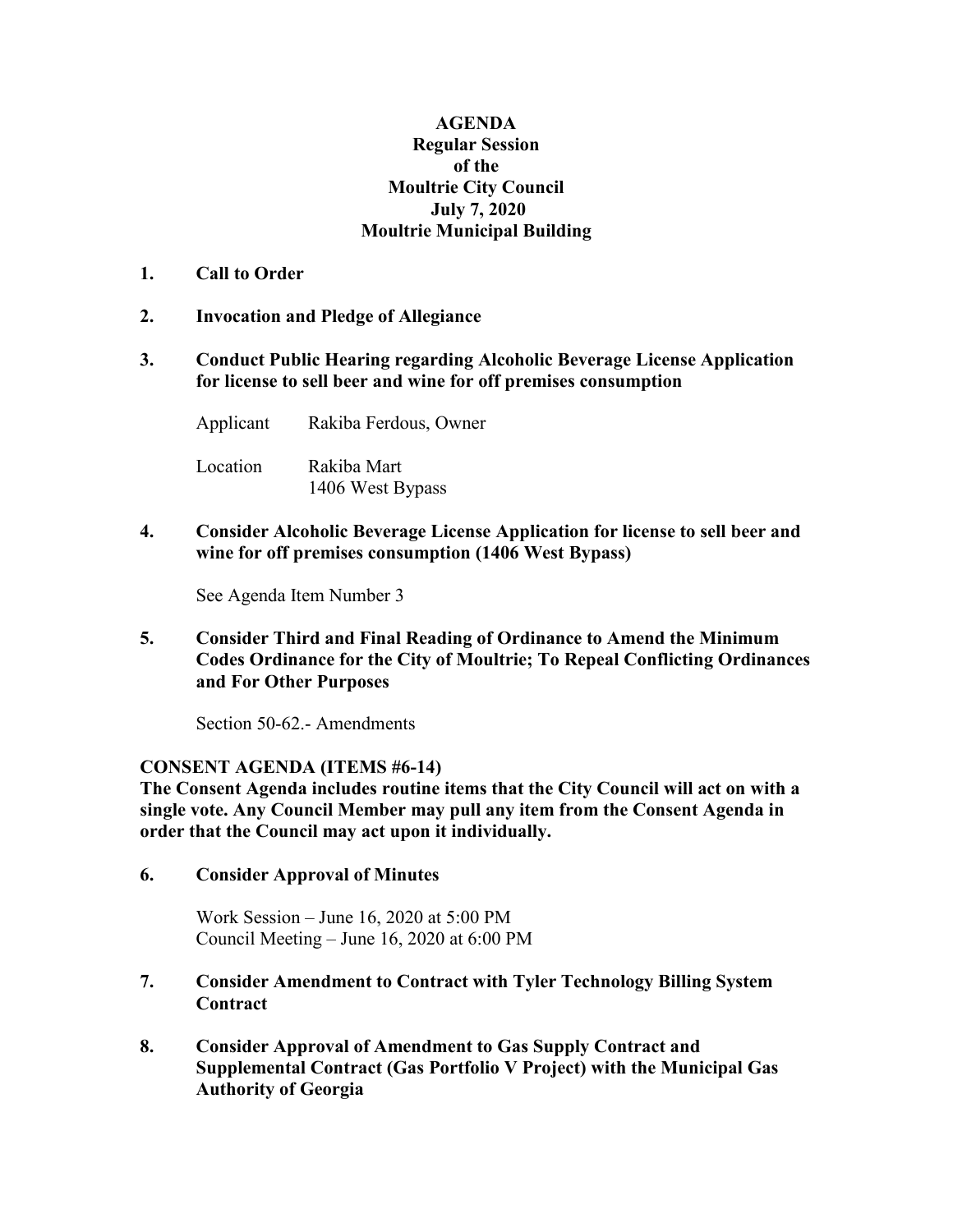## **AGENDA Regular Session of the Moultrie City Council July 7, 2020 Moultrie Municipal Building**

- **1. Call to Order**
- **2. Invocation and Pledge of Allegiance**
- **3. Conduct Public Hearing regarding Alcoholic Beverage License Application for license to sell beer and wine for off premises consumption**

Applicant Rakiba Ferdous, Owner

Location Rakiba Mart 1406 West Bypass

**4. Consider Alcoholic Beverage License Application for license to sell beer and wine for off premises consumption (1406 West Bypass)**

See Agenda Item Number 3

**5. Consider Third and Final Reading of Ordinance to Amend the Minimum Codes Ordinance for the City of Moultrie; To Repeal Conflicting Ordinances and For Other Purposes**

Section 50-62.- Amendments

## **CONSENT AGENDA (ITEMS #6-14)**

**The Consent Agenda includes routine items that the City Council will act on with a single vote. Any Council Member may pull any item from the Consent Agenda in order that the Council may act upon it individually.**

**6. Consider Approval of Minutes**

Work Session – June 16, 2020 at 5:00 PM Council Meeting – June 16, 2020 at 6:00 PM

- **7. Consider Amendment to Contract with Tyler Technology Billing System Contract**
- **8. Consider Approval of Amendment to Gas Supply Contract and Supplemental Contract (Gas Portfolio V Project) with the Municipal Gas Authority of Georgia**